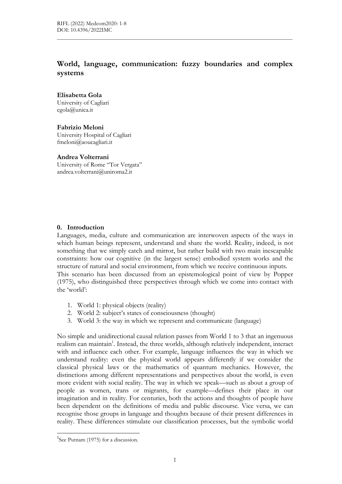# World, language, communication: fuzzy boundaries and complex systems

 $\mathcal{L}_\mathcal{L} = \{ \mathcal{L}_\mathcal{L} = \{ \mathcal{L}_\mathcal{L} = \{ \mathcal{L}_\mathcal{L} = \{ \mathcal{L}_\mathcal{L} = \{ \mathcal{L}_\mathcal{L} = \{ \mathcal{L}_\mathcal{L} = \{ \mathcal{L}_\mathcal{L} = \{ \mathcal{L}_\mathcal{L} = \{ \mathcal{L}_\mathcal{L} = \{ \mathcal{L}_\mathcal{L} = \{ \mathcal{L}_\mathcal{L} = \{ \mathcal{L}_\mathcal{L} = \{ \mathcal{L}_\mathcal{L} = \{ \mathcal{L}_\mathcal{$ 

## Elisabetta Gola

University of Cagliari egola@unica.it

## Fabrizio Meloni

University Hospital of Cagliari fmeloni@aoucagliari.it

## Andrea Volterrani

University of Rome "Tor Vergata" andrea.volterrani@uniroma2.it

# 0. Introduction

Languages, media, culture and communication are interwoven aspects of the ways in which human beings represent, understand and share the world. Reality, indeed, is not something that we simply catch and mirror, but rather build with two main inescapable constraints: how our cognitive (in the largest sense) embodied system works and the structure of natural and social environment, from which we receive continuous inputs. This scenario has been discussed from an epistemological point of view by Popper (1975), who distinguished three perspectives through which we come into contact with the 'world':

- 1. World 1: physical objects (reality)
- 2. World 2: subject's states of consciousness (thought)
- 3. World 3: the way in which we represent and communicate (language)

No simple and unidirectional causal relation passes from World 1 to 3 that an ingenuous realism can maintain<sup>1</sup>. Instead, the three worlds, although relatively independent, interact with and influence each other. For example, language influences the way in which we understand reality: even the physical world appears differently if we consider the classical physical laws or the mathematics of quantum mechanics. However, the distinctions among different representations and perspectives about the world, is even more evident with social reality. The way in which we speak—such as about a group of people as women, trans or migrants, for example—defines their place in our imagination and in reality. For centuries, both the actions and thoughts of people have been dependent on the definitions of media and public discourse. Vice versa, we can recognise those groups in language and thoughts because of their present differences in reality. These differences stimulate our classification processes, but the symbolic world

<sup>&</sup>lt;sup>1</sup>See Putnam (1975) for a discussion.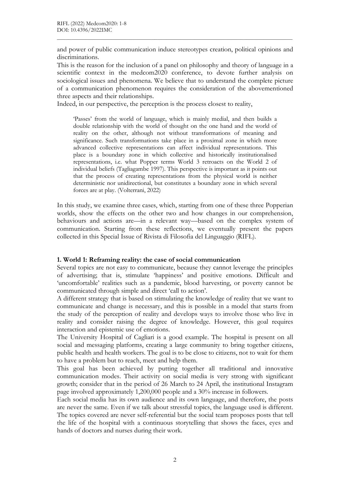and power of public communication induce stereotypes creation, political opinions and discriminations.

 $\mathcal{L}_\mathcal{L} = \{ \mathcal{L}_\mathcal{L} = \{ \mathcal{L}_\mathcal{L} = \{ \mathcal{L}_\mathcal{L} = \{ \mathcal{L}_\mathcal{L} = \{ \mathcal{L}_\mathcal{L} = \{ \mathcal{L}_\mathcal{L} = \{ \mathcal{L}_\mathcal{L} = \{ \mathcal{L}_\mathcal{L} = \{ \mathcal{L}_\mathcal{L} = \{ \mathcal{L}_\mathcal{L} = \{ \mathcal{L}_\mathcal{L} = \{ \mathcal{L}_\mathcal{L} = \{ \mathcal{L}_\mathcal{L} = \{ \mathcal{L}_\mathcal{$ 

This is the reason for the inclusion of a panel on philosophy and theory of language in a scientific context in the medcom2020 conference, to devote further analysis on sociological issues and phenomena. We believe that to understand the complete picture of a communication phenomenon requires the consideration of the abovementioned three aspects and their relationships.

Indeed, in our perspective, the perception is the process closest to reality,

'Passes' from the world of language, which is mainly medial, and then builds a double relationship with the world of thought on the one hand and the world of reality on the other, although not without transformations of meaning and significance. Such transformations take place in a proximal zone in which more advanced collective representations can affect individual representations. This place is a boundary zone in which collective and historically institutionalised representations, i.e. what Popper terms World 3 retroacts on the World 2 of individual beliefs (Tagliagambe 1997). This perspective is important as it points out that the process of creating representations from the physical world is neither deterministic nor unidirectional, but constitutes a boundary zone in which several forces are at play. (Volterrani, 2022)

In this study, we examine three cases, which, starting from one of these three Popperian worlds, show the effects on the other two and how changes in our comprehension, behaviours and actions are—in a relevant way—based on the complex system of communication. Starting from these reflections, we eventually present the papers collected in this Special Issue of Rivista di Filosofia del Linguaggio (RIFL).

### 1. World 1: Reframing reality: the case of social communication

Several topics are not easy to communicate, because they cannot leverage the principles of advertising; that is, stimulate 'happiness' and positive emotions. Difficult and 'uncomfortable' realities such as a pandemic, blood harvesting, or poverty cannot be communicated through simple and direct 'call to action'.

A different strategy that is based on stimulating the knowledge of reality that we want to communicate and change is necessary, and this is possible in a model that starts from the study of the perception of reality and develops ways to involve those who live in reality and consider raising the degree of knowledge. However, this goal requires interaction and epistemic use of emotions.

The University Hospital of Cagliari is a good example. The hospital is present on all social and messaging platforms, creating a large community to bring together citizens, public health and health workers. The goal is to be close to citizens, not to wait for them to have a problem but to reach, meet and help them.

This goal has been achieved by putting together all traditional and innovative communication modes. Their activity on social media is very strong with significant growth; consider that in the period of 26 March to 24 April, the institutional Instagram page involved approximately 1,200,000 people and a 30% increase in followers.

Each social media has its own audience and its own language, and therefore, the posts are never the same. Even if we talk about stressful topics, the language used is different. The topics covered are never self-referential but the social team proposes posts that tell the life of the hospital with a continuous storytelling that shows the faces, eyes and hands of doctors and nurses during their work.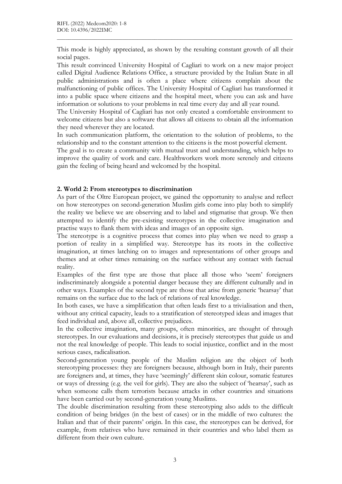This mode is highly appreciated, as shown by the resulting constant growth of all their social pages.

 $\mathcal{L}_\mathcal{L} = \{ \mathcal{L}_\mathcal{L} = \{ \mathcal{L}_\mathcal{L} = \{ \mathcal{L}_\mathcal{L} = \{ \mathcal{L}_\mathcal{L} = \{ \mathcal{L}_\mathcal{L} = \{ \mathcal{L}_\mathcal{L} = \{ \mathcal{L}_\mathcal{L} = \{ \mathcal{L}_\mathcal{L} = \{ \mathcal{L}_\mathcal{L} = \{ \mathcal{L}_\mathcal{L} = \{ \mathcal{L}_\mathcal{L} = \{ \mathcal{L}_\mathcal{L} = \{ \mathcal{L}_\mathcal{L} = \{ \mathcal{L}_\mathcal{$ 

This result convinced University Hospital of Cagliari to work on a new major project called Digital Audience Relations Office, a structure provided by the Italian State in all public administrations and is often a place where citizens complain about the malfunctioning of public offices. The University Hospital of Cagliari has transformed it into a public space where citizens and the hospital meet, where you can ask and have information or solutions to your problems in real time every day and all year round.

The University Hospital of Cagliari has not only created a comfortable environment to welcome citizens but also a software that allows all citizens to obtain all the information they need wherever they are located.

In such communication platform, the orientation to the solution of problems, to the relationship and to the constant attention to the citizens is the most powerful element.

The goal is to create a community with mutual trust and understanding, which helps to improve the quality of work and care. Healthworkers work more serenely and citizens gain the feeling of being heard and welcomed by the hospital.

## 2. World 2: From stereotypes to discrimination

As part of the Oltre European project, we gained the opportunity to analyse and reflect on how stereotypes on second-generation Muslim girls come into play both to simplify the reality we believe we are observing and to label and stigmatise that group. We then attempted to identify the pre-existing stereotypes in the collective imagination and practise ways to flank them with ideas and images of an opposite sign.

The stereotype is a cognitive process that comes into play when we need to grasp a portion of reality in a simplified way. Stereotype has its roots in the collective imagination, at times latching on to images and representations of other groups and themes and at other times remaining on the surface without any contact with factual reality.

Examples of the first type are those that place all those who 'seem' foreigners indiscriminately alongside a potential danger because they are different culturally and in other ways. Examples of the second type are those that arise from generic 'hearsay' that remains on the surface due to the lack of relations of real knowledge.

In both cases, we have a simplification that often leads first to a trivialisation and then, without any critical capacity, leads to a stratification of stereotyped ideas and images that feed individual and, above all, collective prejudices.

In the collective imagination, many groups, often minorities, are thought of through stereotypes. In our evaluations and decisions, it is precisely stereotypes that guide us and not the real knowledge of people. This leads to social injustice, conflict and in the most serious cases, radicalisation.

Second-generation young people of the Muslim religion are the object of both stereotyping processes: they are foreigners because, although born in Italy, their parents are foreigners and, at times, they have 'seemingly' different skin colour, somatic features or ways of dressing (e.g. the veil for girls). They are also the subject of 'hearsay', such as when someone calls them terrorists because attacks in other countries and situations have been carried out by second-generation young Muslims.

The double discrimination resulting from these stereotyping also adds to the difficult condition of being bridges (in the best of cases) or in the middle of two cultures: the Italian and that of their parents' origin. In this case, the stereotypes can be derived, for example, from relatives who have remained in their countries and who label them as different from their own culture.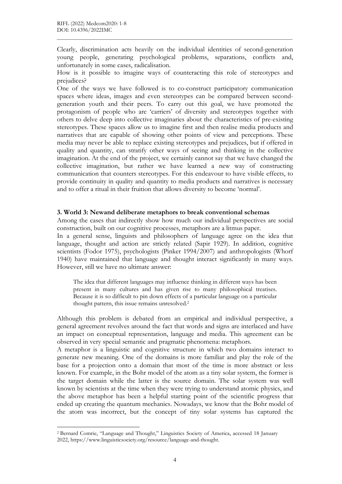Clearly, discrimination acts heavily on the individual identities of second-generation young people, generating psychological problems, separations, conflicts and, unfortunately in some cases, radicalisation.

 $\mathcal{L}_\mathcal{L} = \{ \mathcal{L}_\mathcal{L} = \{ \mathcal{L}_\mathcal{L} = \{ \mathcal{L}_\mathcal{L} = \{ \mathcal{L}_\mathcal{L} = \{ \mathcal{L}_\mathcal{L} = \{ \mathcal{L}_\mathcal{L} = \{ \mathcal{L}_\mathcal{L} = \{ \mathcal{L}_\mathcal{L} = \{ \mathcal{L}_\mathcal{L} = \{ \mathcal{L}_\mathcal{L} = \{ \mathcal{L}_\mathcal{L} = \{ \mathcal{L}_\mathcal{L} = \{ \mathcal{L}_\mathcal{L} = \{ \mathcal{L}_\mathcal{$ 

How is it possible to imagine ways of counteracting this role of stereotypes and prejudices?

One of the ways we have followed is to co-construct participatory communication spaces where ideas, images and even stereotypes can be compared between secondgeneration youth and their peers. To carry out this goal, we have promoted the protagonism of people who are 'carriers' of diversity and stereotypes together with others to delve deep into collective imaginaries about the characteristics of pre-existing stereotypes. These spaces allow us to imagine first and then realise media products and narratives that are capable of showing other points of view and perceptions. These media may never be able to replace existing stereotypes and prejudices, but if offered in quality and quantity, can stratify other ways of seeing and thinking in the collective imagination. At the end of the project, we certainly cannot say that we have changed the collective imagination, but rather we have learned a new way of constructing communication that counters stereotypes. For this endeavour to have visible effects, to provide continuity in quality and quantity to media products and narratives is necessary and to offer a ritual in their fruition that allows diversity to become 'normal'.

## 3. World 3: Newand deliberate metaphors to break conventional schemas

Among the cases that indirectly show how much our individual perspectives are social construction, built on our cognitive processes, metaphors are a litmus paper.

In a general sense, linguists and philosophers of language agree on the idea that language, thought and action are strictly related (Sapir 1929). In addition, cognitive scientists (Fodor 1975), psychologists (Pinker 1994/2007) and anthropologists (Whorf 1940) have maintained that language and thought interact significantly in many ways. However, still we have no ultimate answer:

The idea that different languages may influence thinking in different ways has been present in many cultures and has given rise to many philosophical treatises. Because it is so difficult to pin down effects of a particular language on a particular thought pattern, this issue remains unresolved.<sup>2</sup>

Although this problem is debated from an empirical and individual perspective, a general agreement revolves around the fact that words and signs are interlaced and have an impact on conceptual representation, language and media. This agreement can be observed in very special semantic and pragmatic phenomena: metaphors.

A metaphor is a linguistic and cognitive structure in which two domains interact to generate new meaning. One of the domains is more familiar and play the role of the base for a projection onto a domain that most of the time is more abstract or less known. For example, in the Bohr model of the atom as a tiny solar system, the former is the target domain while the latter is the source domain. The solar system was well known by scientists at the time when they were trying to understand atomic physics, and the above metaphor has been a helpful starting point of the scientific progress that ended up creating the quantum mechanics. Nowadays, we know that the Bohr model of the atom was incorrect, but the concept of tiny solar systems has captured the

-

<sup>2</sup> Bernard Comrie, "Language and Thought," Linguistics Society of America, accessed 18 January 2022, https://www.linguisticsociety.org/resource/language-and-thought.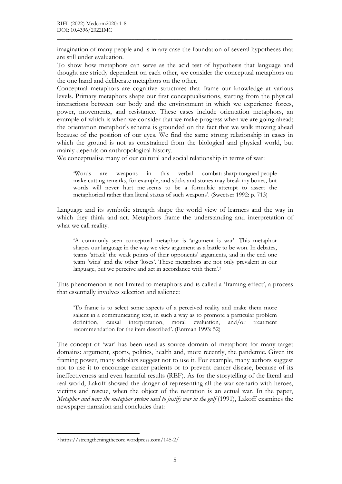imagination of many people and is in any case the foundation of several hypotheses that are still under evaluation.

 $\mathcal{L}_\mathcal{L} = \{ \mathcal{L}_\mathcal{L} = \{ \mathcal{L}_\mathcal{L} = \{ \mathcal{L}_\mathcal{L} = \{ \mathcal{L}_\mathcal{L} = \{ \mathcal{L}_\mathcal{L} = \{ \mathcal{L}_\mathcal{L} = \{ \mathcal{L}_\mathcal{L} = \{ \mathcal{L}_\mathcal{L} = \{ \mathcal{L}_\mathcal{L} = \{ \mathcal{L}_\mathcal{L} = \{ \mathcal{L}_\mathcal{L} = \{ \mathcal{L}_\mathcal{L} = \{ \mathcal{L}_\mathcal{L} = \{ \mathcal{L}_\mathcal{$ 

To show how metaphors can serve as the acid test of hypothesis that language and thought are strictly dependent on each other, we consider the conceptual metaphors on the one hand and deliberate metaphors on the other.

Conceptual metaphors are cognitive structures that frame our knowledge at various levels. Primary metaphors shape our first conceptualisations, starting from the physical interactions between our body and the environment in which we experience forces, power, movements, and resistance. These cases include orientation metaphors, an example of which is when we consider that we make progress when we are going ahead; the orientation metaphor's schema is grounded on the fact that we walk moving ahead because of the position of our eyes. We find the same strong relationship in cases in which the ground is not as constrained from the biological and physical world, but mainly depends on anthropological history.

We conceptualise many of our cultural and social relationship in terms of war:

'Words are weapons in this verbal combat: sharp-tongued people make cutting remarks, for example, and sticks and stones may break my bones, but words will never hurt me seems to be a formulaic attempt to assert the metaphorical rather than literal status of such weapons'. (Sweetser 1992: p. 713)

Language and its symbolic strength shape the world view of learners and the way in which they think and act. Metaphors frame the understanding and interpretation of what we call reality.

'A commonly seen conceptual metaphor is 'argument is war'. This metaphor shapes our language in the way we view argument as a battle to be won. In debates, teams 'attack' the weak points of their opponents' arguments, and in the end one team 'wins' and the other 'loses'. These metaphors are not only prevalent in our language, but we perceive and act in accordance with them'.<sup>3</sup>

This phenomenon is not limited to metaphors and is called a 'framing effect', a process that essentially involves selection and salience:

'To frame is to select some aspects of a perceived reality and make them more salient in a communicating text, in such a way as to promote a particular problem definition, causal interpretation, moral evaluation, and/or treatment recommendation for the item described'. (Entman 1993: 52)

The concept of 'war' has been used as source domain of metaphors for many target domains: argument, sports, politics, health and, more recently, the pandemic. Given its framing power, many scholars suggest not to use it. For example, many authors suggest not to use it to encourage cancer patients or to prevent cancer disease, because of its ineffectiveness and even harmful results (REF). As for the storytelling of the literal and real world, Lakoff showed the danger of representing all the war scenario with heroes, victims and rescue, when the object of the narration is an actual war. In the paper, Metaphor and war: the metaphor system used to justify war in the gulf (1991), Lakoff examines the newspaper narration and concludes that:

-

<sup>3</sup> https://strengtheningthecore.wordpress.com/145-2/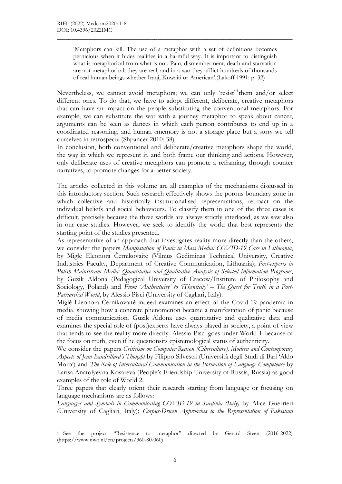-

'Metaphors can kill. The use of a metaphor with a set of definitions becomes pernicious when it hides realities in a harmful way. It is important to distinguish what is metaphorical from what is not. Pain, dismemberment, death and starvation are not metaphorical; they are real, and in a war they afflict hundreds of thousands of real human beings whether Iraqi, Kuwaiti or American'.(Lakoff 1991: p. 32)

 $\mathcal{L}_\mathcal{L} = \{ \mathcal{L}_\mathcal{L} = \{ \mathcal{L}_\mathcal{L} = \{ \mathcal{L}_\mathcal{L} = \{ \mathcal{L}_\mathcal{L} = \{ \mathcal{L}_\mathcal{L} = \{ \mathcal{L}_\mathcal{L} = \{ \mathcal{L}_\mathcal{L} = \{ \mathcal{L}_\mathcal{L} = \{ \mathcal{L}_\mathcal{L} = \{ \mathcal{L}_\mathcal{L} = \{ \mathcal{L}_\mathcal{L} = \{ \mathcal{L}_\mathcal{L} = \{ \mathcal{L}_\mathcal{L} = \{ \mathcal{L}_\mathcal{$ 

Nevertheless, we cannot avoid metaphors; we can only 'resist'<sup>4</sup> them and/or select different ones. To do that, we have to adopt different, deliberate, creative metaphors that can have an impact on the people substituting the conventional metaphors. For example, we can substitute the war with a journey metaphor to speak about cancer, arguments can be seen as dances in which each person contributes to end up in a coordinated reasoning, and human «memory is not a storage place but a story we tell ourselves in retrospect» (Shpancer 2010: 38).

In conclusion, both conventional and deliberate/creative metaphors shape the world, the way in which we represent it, and both frame our thinking and actions. However, only deliberate uses of creative metaphors can promote a reframing, through counter narratives, to promote changes for a better society.

The articles collected in this volume are all examples of the mechanisms discussed in this introductory section. Such research effectively shows the porous boundary zone in which collective and historically institutionalised representations, retroact on the individual beliefs and social behaviours. To classify them in one of the three cases is difficult, precisely because the three worlds are always strictly interlaced, as we saw also in our case studies. However, we seek to identify the world that best represents the starting point of the studies presented.

As representative of an approach that investigates reality more directly than the others, we consider the papers Manifestation of Panic in Mass Media: COVID-19 Case in Lithuania, by Miglė Eleonora Černikovaitė (Vilnius Gediminas Technical University, Creative Industries Faculty, Department of Creative Communication, Lithuania); Post-experts in Polish Mainstream Media: Quantitative and Qualitative Analysis of Selected Information Programs, by Guzik Aldona (Pedagogical University of Cracow/Institute of Philosophy and Sociology, Poland) and From 'Authenticity' to 'iThenticity' – The Quest for Truth in a Post-Patriarchal World, by Alessio Pisci (University of Cagliari, Italy).

Miglė Eleonora Černikovaitė indeed examines an effect of the Covid-19 pandemic in media, showing how a concrete phenomenon became a manifestation of panic because of media communication. Guzik Aldona uses quantitative and qualitative data and examines the special role of (post)experts have always played in society, a point of view that tends to see the reality more directly. Alessio Pisci goes under World 1 because of the focus on truth, even if he questionsits epistemological status of authenticity.

We consider the papers *Criticism on Computer Reason (Ciberculture)*. Modern and Contemporary Aspects of Jean Baudrillard's Thought by Filippo Silvestri (Università degli Studi di Bari 'Aldo Moro') and The Role of Intercultural Communication in the Formation of Language Competence by Larisa Anatolyevna Kosareva (People's Friendship University of Russia, Russia) as good examples of the role of World 2.

Three papers that clearly orient their research starting from language or focusing on language mechanisms are as follows:

Languages and Symbols in Communicating COVID-19 in Sardinia (Italy) by Alice Guerrieri (University of Cagliari, Italy); Corpus-Driven Approaches to the Representation of Pakistani

<sup>4</sup> See the project "Resistence to metaphor" directed by Gerard Steen (2016-2022) (https://www.nwo.nl/en/projects/360-80-060)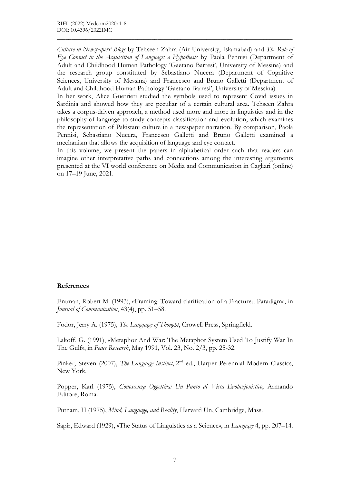Culture in Newspapers' Blogs by Tehseen Zahra (Air University, Islamabad) and The Role of Eye Contact in the Acquisition of Language: a Hypothesis by Paola Pennisi (Department of Adult and Childhood Human Pathology 'Gaetano Barresi', University of Messina) and the research group constituted by Sebastiano Nucera (Department of Cognitive Sciences, University of Messina) and Francesco and Bruno Galletti (Department of Adult and Childhood Human Pathology 'Gaetano Barresi', University of Messina).

 $\mathcal{L}_\mathcal{L} = \{ \mathcal{L}_\mathcal{L} = \{ \mathcal{L}_\mathcal{L} = \{ \mathcal{L}_\mathcal{L} = \{ \mathcal{L}_\mathcal{L} = \{ \mathcal{L}_\mathcal{L} = \{ \mathcal{L}_\mathcal{L} = \{ \mathcal{L}_\mathcal{L} = \{ \mathcal{L}_\mathcal{L} = \{ \mathcal{L}_\mathcal{L} = \{ \mathcal{L}_\mathcal{L} = \{ \mathcal{L}_\mathcal{L} = \{ \mathcal{L}_\mathcal{L} = \{ \mathcal{L}_\mathcal{L} = \{ \mathcal{L}_\mathcal{$ 

In her work, Alice Guerrieri studied the symbols used to represent Covid issues in Sardinia and showed how they are peculiar of a certain cultural area. Tehseen Zahra takes a corpus-driven approach, a method used more and more in linguistics and in the philosophy of language to study concepts classification and evolution, which examines the representation of Pakistani culture in a newspaper narration. By comparison, Paola Pennisi, Sebastiano Nucera, Francesco Galletti and Bruno Galletti examined a mechanism that allows the acquisition of language and eye contact.

In this volume, we present the papers in alphabetical order such that readers can imagine other interpretative paths and connections among the interesting arguments presented at the VI world conference on Media and Communication in Cagliari (online) on 17–19 June, 2021.

### References

Entman, Robert M. (1993), «Framing: Toward clarification of a Fractured Paradigm», in Journal of Communication, 43(4), pp. 51–58.

Fodor, Jerry A. (1975), The Language of Thought, Crowell Press, Springfield.

Lakoff, G. (1991), «Metaphor And War: The Metaphor System Used To Justify War In The Gulf», in Peace Research, May 1991, Vol. 23, No. 2/3, pp. 25-32.

Pinker, Steven (2007), The Language Instinct, 2<sup>nd</sup> ed., Harper Perennial Modern Classics, New York.

Popper, Karl (1975), Conoscenza Oggettiva: Un Punto di Vista Evoluzionistico, Armando Editore, Roma.

Putnam, H (1975), Mind, Language, and Reality, Harvard Un, Cambridge, Mass.

Sapir, Edward (1929), «The Status of Linguistics as a Science», in Language 4, pp. 207–14.